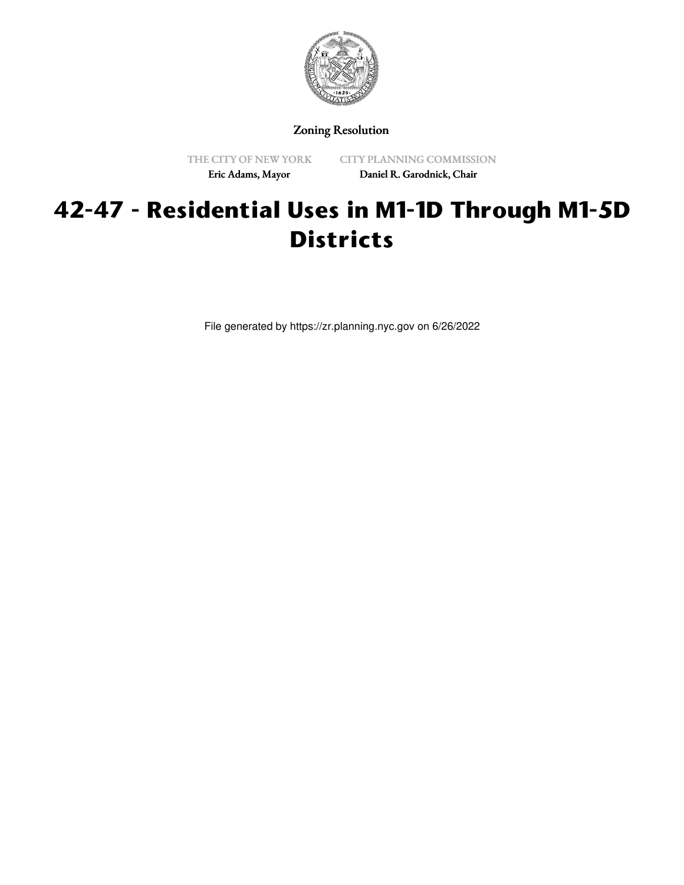

Zoning Resolution

THE CITY OF NEW YORK Eric Adams, Mayor

CITY PLANNING COMMISSION Daniel R. Garodnick, Chair

## **42-47 - Residential Uses in M1-1D Through M1-5D Districts**

File generated by https://zr.planning.nyc.gov on 6/26/2022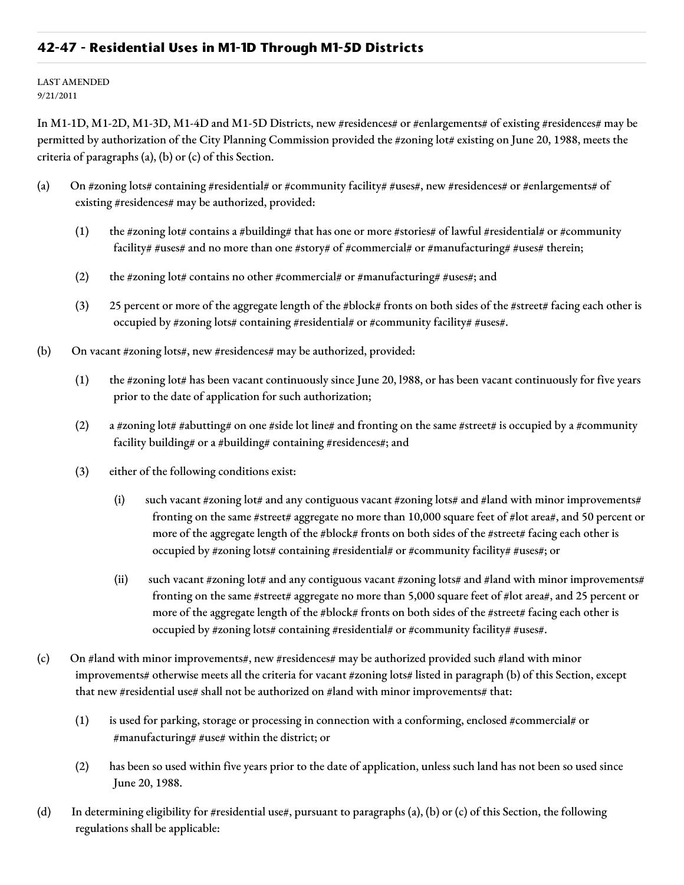## **42-47 - Residential Uses in M1-1D Through M1-5D Districts**

LAST AMENDED 9/21/2011

In M1-1D, M1-2D, M1-3D, M1-4D and M1-5D Districts, new #residences# or #enlargements# of existing #residences# may be permitted by authorization of the City Planning Commission provided the #zoning lot# existing on June 20, 1988, meets the criteria of paragraphs (a), (b) or (c) of this Section.

- (a) On #zoning lots# containing #residential# or #community facility# #uses#, new #residences# or #enlargements# of existing #residences# may be authorized, provided:
	- (1) the #zoning lot# contains a #building# that has one or more #stories# of lawful #residential# or #community facility# #uses# and no more than one #story# of #commercial# or #manufacturing# #uses# therein;
	- (2) the #zoning lot# contains no other #commercial# or #manufacturing# #uses#; and
	- (3) 25 percent or more of the aggregate length of the #block# fronts on both sides of the #street# facing each other is occupied by #zoning lots# containing #residential# or #community facility# #uses#.
- (b) On vacant #zoning lots#, new #residences# may be authorized, provided:
	- (1) the #zoning lot# has been vacant continuously since June 20, l988, or has been vacant continuously for five years prior to the date of application for such authorization;
	- (2) a #zoning lot# #abutting# on one #side lot line# and fronting on the same #street# is occupied by a #community facility building# or a #building# containing #residences#; and
	- (3) either of the following conditions exist:
		- (i) such vacant #zoning lot# and any contiguous vacant #zoning lots# and #land with minor improvements# fronting on the same #street# aggregate no more than 10,000 square feet of #lot area#, and 50 percent or more of the aggregate length of the #block# fronts on both sides of the #street# facing each other is occupied by #zoning lots# containing #residential# or #community facility# #uses#; or
		- (ii) such vacant #zoning lot# and any contiguous vacant #zoning lots# and #land with minor improvements# fronting on the same #street# aggregate no more than 5,000 square feet of #lot area#, and 25 percent or more of the aggregate length of the #block# fronts on both sides of the #street# facing each other is occupied by #zoning lots# containing #residential# or #community facility# #uses#.
- (c) On #land with minor improvements#, new #residences# may be authorized provided such #land with minor improvements# otherwise meets all the criteria for vacant #zoning lots# listed in paragraph (b) of this Section, except that new #residential use# shall not be authorized on #land with minor improvements# that:
	- $(1)$  is used for parking, storage or processing in connection with a conforming, enclosed #commercial# or #manufacturing# #use# within the district; or
	- (2) has been so used within five years prior to the date of application, unless such land has not been so used since June 20, 1988.
- (d) In determining eligibility for #residential use#, pursuant to paragraphs (a), (b) or (c) of this Section, the following regulations shall be applicable: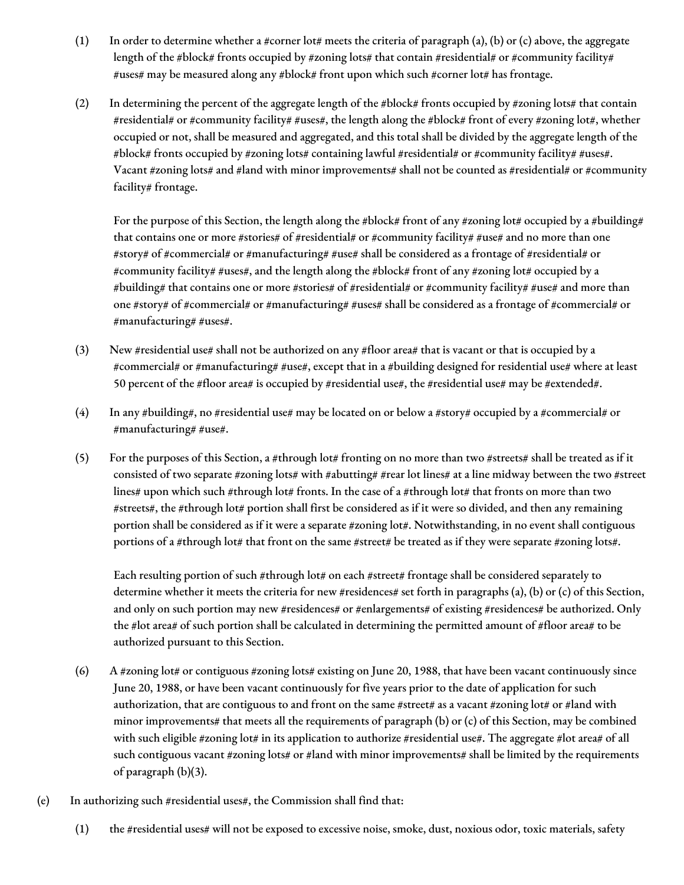- (1) In order to determine whether a #corner lot# meets the criteria of paragraph (a), (b) or (c) above, the aggregate length of the #block# fronts occupied by #zoning lots# that contain #residential# or #community facility# #uses# may be measured along any #block# front upon which such #corner lot# has frontage.
- (2) In determining the percent of the aggregate length of the #block# fronts occupied by #zoning lots# that contain #residential# or #community facility# #uses#, the length along the #block# front of every #zoning lot#, whether occupied or not, shall be measured and aggregated, and this total shall be divided by the aggregate length of the #block# fronts occupied by #zoning lots# containing lawful #residential# or #community facility# #uses#. Vacant #zoning lots# and #land with minor improvements# shall not be counted as #residential# or #community facility# frontage.

For the purpose of this Section, the length along the #block# front of any #zoning lot# occupied by a #building# that contains one or more #stories# of #residential# or #community facility# #use# and no more than one #story# of #commercial# or #manufacturing# #use# shall be considered as a frontage of #residential# or #community facility# #uses#, and the length along the #block# front of any #zoning lot# occupied by a #building# that contains one or more #stories# of #residential# or #community facility# #use# and more than one #story# of #commercial# or #manufacturing# #uses# shall be considered as a frontage of #commercial# or #manufacturing# #uses#.

- (3) New #residential use# shall not be authorized on any #floor area# that is vacant or that is occupied by a #commercial# or #manufacturing# #use#, except that in a #building designed for residential use# where at least 50 percent of the #floor area# is occupied by #residential use#, the #residential use# may be #extended#.
- (4) In any #building#, no #residential use# may be located on or below a #story# occupied by a #commercial# or #manufacturing# #use#.
- (5) For the purposes of this Section, a #through lot# fronting on no more than two #streets# shall be treated as if it consisted of two separate #zoning lots# with #abutting# #rear lot lines# at a line midway between the two #street lines# upon which such #through lot# fronts. In the case of a #through lot# that fronts on more than two #streets#, the #through lot# portion shall first be considered as if it were so divided, and then any remaining portion shall be considered as if it were a separate #zoning lot#. Notwithstanding, in no event shall contiguous portions of a #through lot# that front on the same #street# be treated as if they were separate #zoning lots#.

Each resulting portion of such #through lot# on each #street# frontage shall be considered separately to determine whether it meets the criteria for new #residences# set forth in paragraphs (a), (b) or (c) of this Section, and only on such portion may new #residences# or #enlargements# of existing #residences# be authorized. Only the #lot area# of such portion shall be calculated in determining the permitted amount of #floor area# to be authorized pursuant to this Section.

- (6) A #zoning lot# or contiguous #zoning lots# existing on June 20, 1988, that have been vacant continuously since June 20, 1988, or have been vacant continuously for five years prior to the date of application for such authorization, that are contiguous to and front on the same #street# as a vacant #zoning lot# or #land with minor improvements# that meets all the requirements of paragraph (b) or (c) of this Section, may be combined with such eligible #zoning lot# in its application to authorize #residential use#. The aggregate #lot area# of all such contiguous vacant #zoning lots# or #land with minor improvements# shall be limited by the requirements of paragraph (b)(3).
- (e) In authorizing such #residential uses#, the Commission shall find that:
	- (1) the #residential uses# will not be exposed to excessive noise, smoke, dust, noxious odor, toxic materials, safety